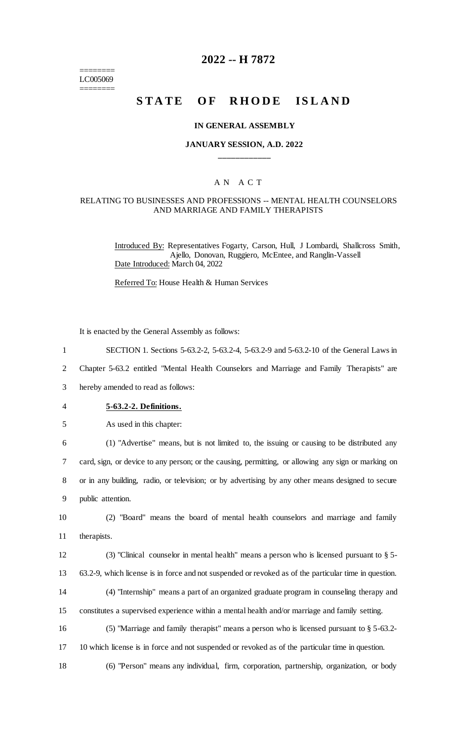======== LC005069 ========

## **2022 -- H 7872**

# **STATE OF RHODE ISLAND**

#### **IN GENERAL ASSEMBLY**

## **JANUARY SESSION, A.D. 2022 \_\_\_\_\_\_\_\_\_\_\_\_**

## A N A C T

#### RELATING TO BUSINESSES AND PROFESSIONS -- MENTAL HEALTH COUNSELORS AND MARRIAGE AND FAMILY THERAPISTS

Introduced By: Representatives Fogarty, Carson, Hull, J Lombardi, Shallcross Smith, Ajello, Donovan, Ruggiero, McEntee, and Ranglin-Vassell Date Introduced: March 04, 2022

Referred To: House Health & Human Services

It is enacted by the General Assembly as follows:

1 SECTION 1. Sections 5-63.2-2, 5-63.2-4, 5-63.2-9 and 5-63.2-10 of the General Laws in

2 Chapter 5-63.2 entitled "Mental Health Counselors and Marriage and Family Therapists" are

3 hereby amended to read as follows:

- 4 **5-63.2-2. Definitions.**
- 5 As used in this chapter:

 (1) "Advertise" means, but is not limited to, the issuing or causing to be distributed any card, sign, or device to any person; or the causing, permitting, or allowing any sign or marking on or in any building, radio, or television; or by advertising by any other means designed to secure public attention.

10 (2) "Board" means the board of mental health counselors and marriage and family 11 therapists.

12 (3) "Clinical counselor in mental health" means a person who is licensed pursuant to § 5- 13 63.2-9, which license is in force and not suspended or revoked as of the particular time in question. 14 (4) "Internship" means a part of an organized graduate program in counseling therapy and

15 constitutes a supervised experience within a mental health and/or marriage and family setting.

16 (5) "Marriage and family therapist" means a person who is licensed pursuant to § 5-63.2-

17 10 which license is in force and not suspended or revoked as of the particular time in question.

18 (6) "Person" means any individual, firm, corporation, partnership, organization, or body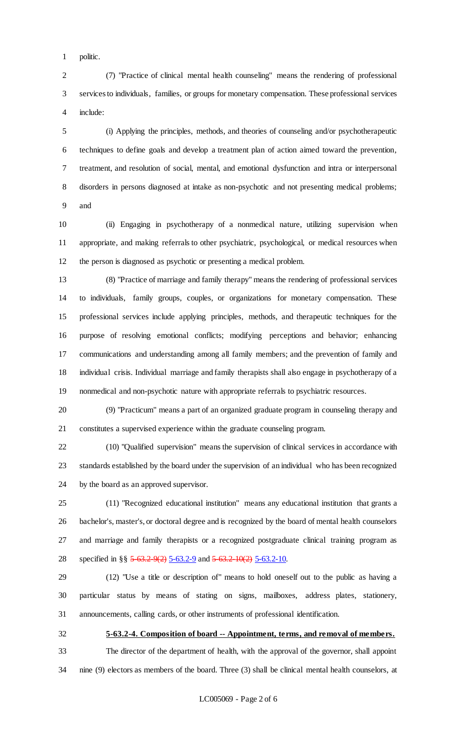politic.

 (7) "Practice of clinical mental health counseling" means the rendering of professional services to individuals, families, or groups for monetary compensation. These professional services include:

 (i) Applying the principles, methods, and theories of counseling and/or psychotherapeutic techniques to define goals and develop a treatment plan of action aimed toward the prevention, treatment, and resolution of social, mental, and emotional dysfunction and intra or interpersonal disorders in persons diagnosed at intake as non-psychotic and not presenting medical problems; and

 (ii) Engaging in psychotherapy of a nonmedical nature, utilizing supervision when appropriate, and making referrals to other psychiatric, psychological, or medical resources when the person is diagnosed as psychotic or presenting a medical problem.

 (8) "Practice of marriage and family therapy" means the rendering of professional services to individuals, family groups, couples, or organizations for monetary compensation. These professional services include applying principles, methods, and therapeutic techniques for the purpose of resolving emotional conflicts; modifying perceptions and behavior; enhancing communications and understanding among all family members; and the prevention of family and individual crisis. Individual marriage and family therapists shall also engage in psychotherapy of a nonmedical and non-psychotic nature with appropriate referrals to psychiatric resources.

 (9) "Practicum" means a part of an organized graduate program in counseling therapy and constitutes a supervised experience within the graduate counseling program.

 (10) "Qualified supervision" means the supervision of clinical services in accordance with standards established by the board under the supervision of an individual who has been recognized by the board as an approved supervisor.

 (11) "Recognized educational institution" means any educational institution that grants a bachelor's, master's, or doctoral degree and is recognized by the board of mental health counselors and marriage and family therapists or a recognized postgraduate clinical training program as 28 specified in §§ 5-63.2-9(2) 5-63.2-9 and 5-63.2-10(2) 5-63.2-10.

 (12) "Use a title or description of" means to hold oneself out to the public as having a particular status by means of stating on signs, mailboxes, address plates, stationery, announcements, calling cards, or other instruments of professional identification.

**5-63.2-4. Composition of board -- Appointment, terms, and removal of members.**

 The director of the department of health, with the approval of the governor, shall appoint nine (9) electors as members of the board. Three (3) shall be clinical mental health counselors, at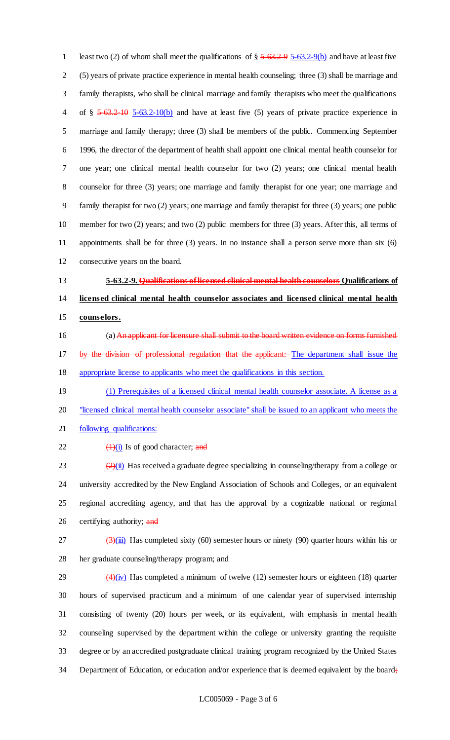1 least two (2) of whom shall meet the qualifications of  $\S 5-63.2-95-63.2-9(b)$  and have at least five (5) years of private practice experience in mental health counseling; three (3) shall be marriage and family therapists, who shall be clinical marriage and family therapists who meet the qualifications 4 of § 5-63.2-10 5-63.2-10(b) and have at least five (5) years of private practice experience in marriage and family therapy; three (3) shall be members of the public. Commencing September 1996, the director of the department of health shall appoint one clinical mental health counselor for one year; one clinical mental health counselor for two (2) years; one clinical mental health counselor for three (3) years; one marriage and family therapist for one year; one marriage and family therapist for two (2) years; one marriage and family therapist for three (3) years; one public member for two (2) years; and two (2) public members for three (3) years. After this, all terms of appointments shall be for three (3) years. In no instance shall a person serve more than six (6) consecutive years on the board.

 **5-63.2-9. Qualifications of licensed clinical mental health counselors Qualifications of licensed clinical mental health counselor associates and licensed clinical mental health counselors.**

- 16 (a) An applicant for licensure shall submit to the board written evidence on forms furnished 17 by the division of professional regulation that the applicant: The department shall issue the appropriate license to applicants who meet the qualifications in this section.
- 19 (1) Prerequisites of a licensed clinical mental health counselor associate. A license as a 20 "licensed clinical mental health counselor associate" shall be issued to an applicant who meets the
- following qualifications:
- 22  $\left(\frac{1}{1}\right)$  Is of good character; and

 $\left( \frac{2}{\text{ii}} \right)$  Has received a graduate degree specializing in counseling/therapy from a college or university accredited by the New England Association of Schools and Colleges, or an equivalent regional accrediting agency, and that has the approval by a cognizable national or regional 26 certifying authority; and

 $\frac{(3)(iii)}{(ii)}$  Has completed sixty (60) semester hours or ninety (90) quarter hours within his or her graduate counseling/therapy program; and

 $(4)(iv)$  Has completed a minimum of twelve (12) semester hours or eighteen (18) quarter hours of supervised practicum and a minimum of one calendar year of supervised internship consisting of twenty (20) hours per week, or its equivalent, with emphasis in mental health counseling supervised by the department within the college or university granting the requisite degree or by an accredited postgraduate clinical training program recognized by the United States 34 Department of Education, or education and/or experience that is deemed equivalent by the board;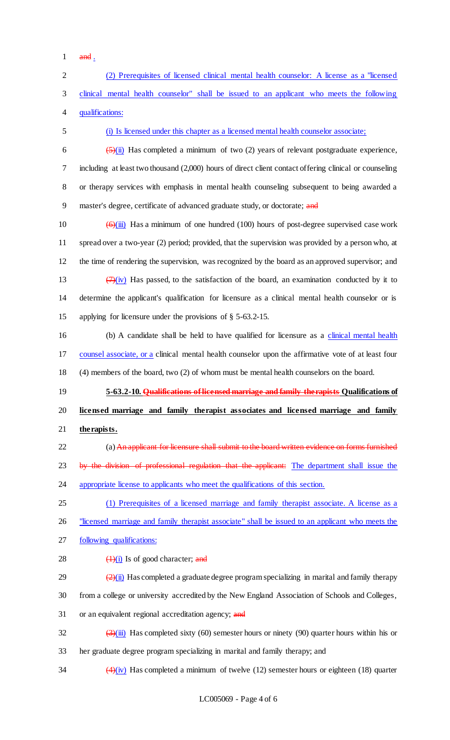- $1$  and .
- 2 (2) Prerequisites of licensed clinical mental health counselor: A license as a "licensed 3 clinical mental health counselor" shall be issued to an applicant who meets the following 4 qualifications: 5 (i) Is licensed under this chapter as a licensed mental health counselor associate; 6  $\frac{5}{\text{(i)}}$  Has completed a minimum of two (2) years of relevant postgraduate experience, 7 including at least two thousand (2,000) hours of direct client contact offering clinical or counseling 8 or therapy services with emphasis in mental health counseling subsequent to being awarded a 9 master's degree, certificate of advanced graduate study, or doctorate; and 10  $\left(\frac{6}{\text{iii}}\right)$  Has a minimum of one hundred (100) hours of post-degree supervised case work 11 spread over a two-year (2) period; provided, that the supervision was provided by a person who, at 12 the time of rendering the supervision, was recognized by the board as an approved supervisor; and 13  $\left(\frac{7}{10}\right)$  Has passed, to the satisfaction of the board, an examination conducted by it to 14 determine the applicant's qualification for licensure as a clinical mental health counselor or is 15 applying for licensure under the provisions of § 5-63.2-15. 16 (b) A candidate shall be held to have qualified for licensure as a clinical mental health 17 counsel associate, or a clinical mental health counselor upon the affirmative vote of at least four 18 (4) members of the board, two (2) of whom must be mental health counselors on the board. 19 **5-63.2-10. Qualifications of licensed marriage and family therapists Qualifications of**  20 **licensed marriage and family therapist associates and licensed marriage and family**  21 **therapists.** 22 (a) An applicant for licensure shall submit to the board written evidence on forms furnished 23 by the division of professional regulation that the applicant: The department shall issue the 24 appropriate license to applicants who meet the qualifications of this section. 25 (1) Prerequisites of a licensed marriage and family therapist associate. A license as a 26 "licensed marriage and family therapist associate" shall be issued to an applicant who meets the 27 following qualifications: 28  $\left(\frac{1}{1}\right)$  Is of good character; and 29  $\frac{(2)(i)}{2}$  Has completed a graduate degree program specializing in marital and family therapy 30 from a college or university accredited by the New England Association of Schools and Colleges, 31 or an equivalent regional accreditation agency; and 32  $\left(\frac{3}{\text{iii}}\right)$  Has completed sixty (60) semester hours or ninety (90) quarter hours within his or 33 her graduate degree program specializing in marital and family therapy; and 34  $\left(4\right)\left(\frac{iv}{v}\right)$  Has completed a minimum of twelve (12) semester hours or eighteen (18) quarter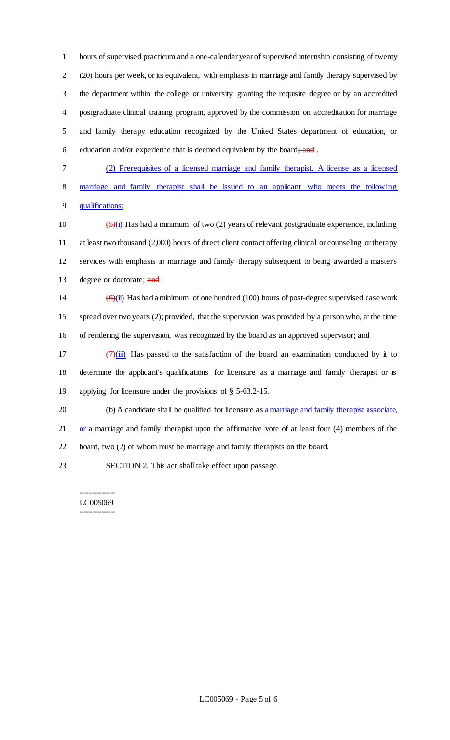hours of supervised practicum and a one-calendar year of supervised internship consisting of twenty (20) hours per week, or its equivalent, with emphasis in marriage and family therapy supervised by the department within the college or university granting the requisite degree or by an accredited postgraduate clinical training program, approved by the commission on accreditation for marriage and family therapy education recognized by the United States department of education, or 6 education and/or experience that is deemed equivalent by the board; and  $\frac{1}{2}$ 

7 (2) Prerequisites of a licensed marriage and family therapist. A license as a licensed 8 marriage and family therapist shall be issued to an applicant who meets the following 9 qualifications:

 $\left(\frac{5}{1}\right)$  Has had a minimum of two (2) years of relevant postgraduate experience, including at least two thousand (2,000) hours of direct client contact offering clinical or counseling or therapy services with emphasis in marriage and family therapy subsequent to being awarded a master's 13 degree or doctorate; and

14  $\left(\frac{\Theta(\mathbf{i})}{\Theta(\mathbf{i})}\right)$  Has had a minimum of one hundred (100) hours of post-degree supervised case work 15 spread over two years (2); provided, that the supervision was provided by a person who, at the time 16 of rendering the supervision, was recognized by the board as an approved supervisor; and

17  $(7)(iii)$  Has passed to the satisfaction of the board an examination conducted by it to 18 determine the applicant's qualifications for licensure as a marriage and family therapist or is 19 applying for licensure under the provisions of § 5-63.2-15.

20 (b) A candidate shall be qualified for licensure as a marriage and family therapist associate, 21 or a marriage and family therapist upon the affirmative vote of at least four (4) members of the 22 board, two (2) of whom must be marriage and family therapists on the board.

23 SECTION 2. This act shall take effect upon passage.

#### ======== LC005069 ========

LC005069 - Page 5 of 6